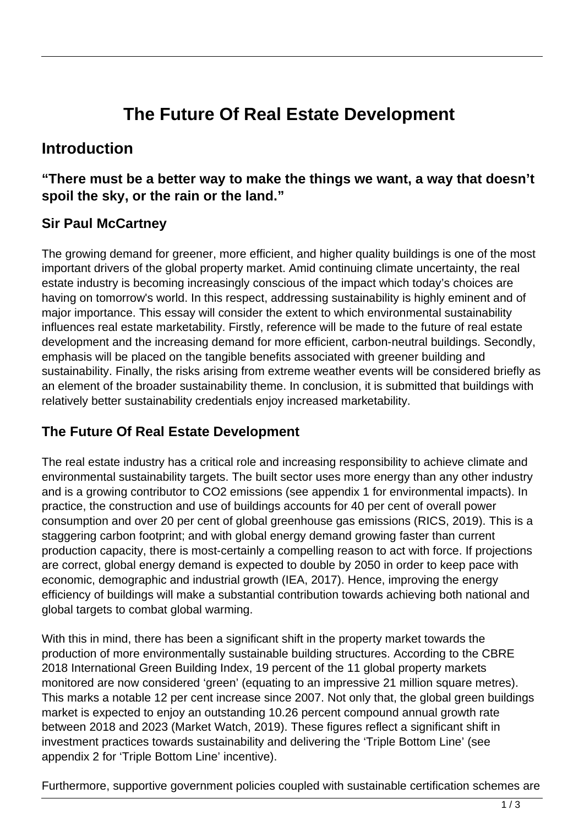# **The Future Of Real Estate Development**

## **Introduction**

#### **"There must be a better way to make the things we want, a way that doesn't spoil the sky, or the rain or the land."**

#### **Sir Paul McCartney**

The growing demand for greener, more efficient, and higher quality buildings is one of the most important drivers of the global property market. Amid continuing climate uncertainty, the real estate industry is becoming increasingly conscious of the impact which today's choices are having on tomorrow's world. In this respect, addressing sustainability is highly eminent and of major importance. This essay will consider the extent to which environmental sustainability influences real estate marketability. Firstly, reference will be made to the future of real estate development and the increasing demand for more efficient, carbon-neutral buildings. Secondly, emphasis will be placed on the tangible benefits associated with greener building and sustainability. Finally, the risks arising from extreme weather events will be considered briefly as an element of the broader sustainability theme. In conclusion, it is submitted that buildings with relatively better sustainability credentials enjoy increased marketability.

#### **The Future Of Real Estate Development**

The real estate industry has a critical role and increasing responsibility to achieve climate and environmental sustainability targets. The built sector uses more energy than any other industry and is a growing contributor to CO2 emissions (see appendix 1 for environmental impacts). In practice, the construction and use of buildings accounts for 40 per cent of overall power consumption and over 20 per cent of global greenhouse gas emissions (RICS, 2019). This is a staggering carbon footprint; and with global energy demand growing faster than current production capacity, there is most-certainly a compelling reason to act with force. If projections are correct, global energy demand is expected to double by 2050 in order to keep pace with economic, demographic and industrial growth (IEA, 2017). Hence, improving the energy efficiency of buildings will make a substantial contribution towards achieving both national and global targets to combat global warming.

With this in mind, there has been a significant shift in the property market towards the production of more environmentally sustainable building structures. According to the CBRE 2018 International Green Building Index, 19 percent of the 11 global property markets monitored are now considered 'green' (equating to an impressive 21 million square metres). This marks a notable 12 per cent increase since 2007. Not only that, the global green buildings market is expected to enjoy an outstanding 10.26 percent compound annual growth rate between 2018 and 2023 (Market Watch, 2019). These figures reflect a significant shift in investment practices towards sustainability and delivering the 'Triple Bottom Line' (see appendix 2 for 'Triple Bottom Line' incentive).

Furthermore, supportive government policies coupled with sustainable certification schemes are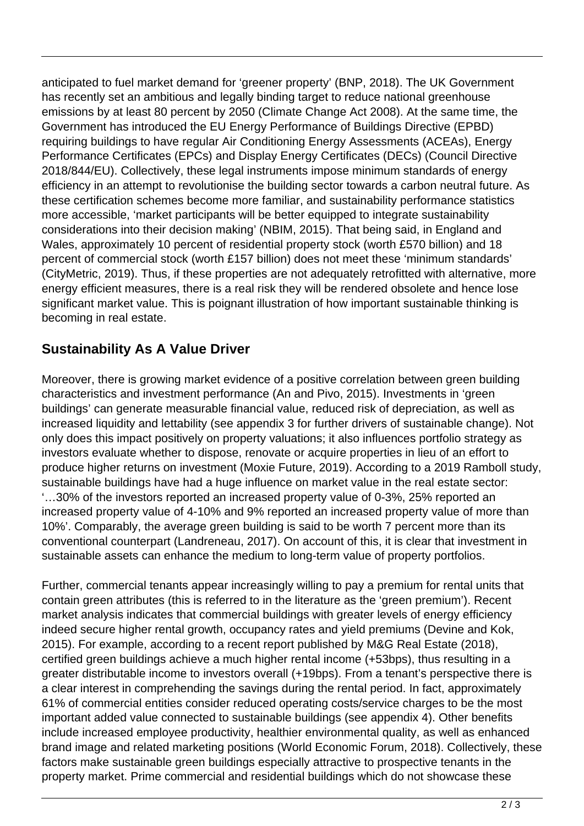anticipated to fuel market demand for 'greener property' (BNP, 2018). The UK Government has recently set an ambitious and legally binding target to reduce national greenhouse emissions by at least 80 percent by 2050 (Climate Change Act 2008). At the same time, the Government has introduced the EU Energy Performance of Buildings Directive (EPBD) requiring buildings to have regular Air Conditioning Energy Assessments (ACEAs), Energy Performance Certificates (EPCs) and Display Energy Certificates (DECs) (Council Directive 2018/844/EU). Collectively, these legal instruments impose minimum standards of energy efficiency in an attempt to revolutionise the building sector towards a carbon neutral future. As these certification schemes become more familiar, and sustainability performance statistics more accessible, 'market participants will be better equipped to integrate sustainability considerations into their decision making' (NBIM, 2015). That being said, in England and Wales, approximately 10 percent of residential property stock (worth £570 billion) and 18 percent of commercial stock (worth £157 billion) does not meet these 'minimum standards' (CityMetric, 2019). Thus, if these properties are not adequately retrofitted with alternative, more energy efficient measures, there is a real risk they will be rendered obsolete and hence lose significant market value. This is poignant illustration of how important sustainable thinking is becoming in real estate.

### **Sustainability As A Value Driver**

Moreover, there is growing market evidence of a positive correlation between green building characteristics and investment performance (An and Pivo, 2015). Investments in 'green buildings' can generate measurable financial value, reduced risk of depreciation, as well as increased liquidity and lettability (see appendix 3 for further drivers of sustainable change). Not only does this impact positively on property valuations; it also influences portfolio strategy as investors evaluate whether to dispose, renovate or acquire properties in lieu of an effort to produce higher returns on investment (Moxie Future, 2019). According to a 2019 Ramboll study, sustainable buildings have had a huge influence on market value in the real estate sector: '…30% of the investors reported an increased property value of 0-3%, 25% reported an increased property value of 4-10% and 9% reported an increased property value of more than 10%'. Comparably, the average green building is said to be worth 7 percent more than its conventional counterpart (Landreneau, 2017). On account of this, it is clear that investment in sustainable assets can enhance the medium to long-term value of property portfolios.

Further, commercial tenants appear increasingly willing to pay a premium for rental units that contain green attributes (this is referred to in the literature as the 'green premium'). Recent market analysis indicates that commercial buildings with greater levels of energy efficiency indeed secure higher rental growth, occupancy rates and yield premiums (Devine and Kok, 2015). For example, according to a recent report published by M&G Real Estate (2018), certified green buildings achieve a much higher rental income (+53bps), thus resulting in a greater distributable income to investors overall (+19bps). From a tenant's perspective there is a clear interest in comprehending the savings during the rental period. In fact, approximately 61% of commercial entities consider reduced operating costs/service charges to be the most important added value connected to sustainable buildings (see appendix 4). Other benefits include increased employee productivity, healthier environmental quality, as well as enhanced brand image and related marketing positions (World Economic Forum, 2018). Collectively, these factors make sustainable green buildings especially attractive to prospective tenants in the property market. Prime commercial and residential buildings which do not showcase these